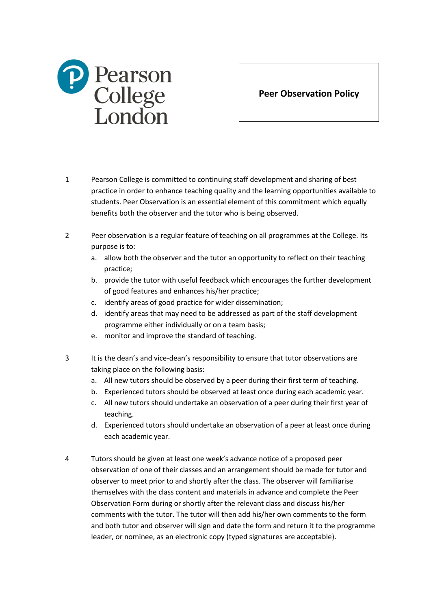

**Peer Observation Policy**

- 1 Pearson College is committed to continuing staff development and sharing of best practice in order to enhance teaching quality and the learning opportunities available to students. Peer Observation is an essential element of this commitment which equally benefits both the observer and the tutor who is being observed.
- 2 Peer observation is a regular feature of teaching on all programmes at the College. Its purpose is to:
	- a. allow both the observer and the tutor an opportunity to reflect on their teaching practice;
	- b. provide the tutor with useful feedback which encourages the further development of good features and enhances his/her practice;
	- c. identify areas of good practice for wider dissemination;
	- d. identify areas that may need to be addressed as part of the staff development programme either individually or on a team basis;
	- e. monitor and improve the standard of teaching.
- 3 It is the dean's and vice-dean's responsibility to ensure that tutor observations are taking place on the following basis:
	- a. All new tutors should be observed by a peer during their first term of teaching.
	- b. Experienced tutors should be observed at least once during each academic year.
	- c. All new tutors should undertake an observation of a peer during their first year of teaching.
	- d. Experienced tutors should undertake an observation of a peer at least once during each academic year.
- 4 Tutors should be given at least one week's advance notice of a proposed peer observation of one of their classes and an arrangement should be made for tutor and observer to meet prior to and shortly after the class. The observer will familiarise themselves with the class content and materials in advance and complete the Peer Observation Form during or shortly after the relevant class and discuss his/her comments with the tutor. The tutor will then add his/her own comments to the form and both tutor and observer will sign and date the form and return it to the programme leader, or nominee, as an electronic copy (typed signatures are acceptable).